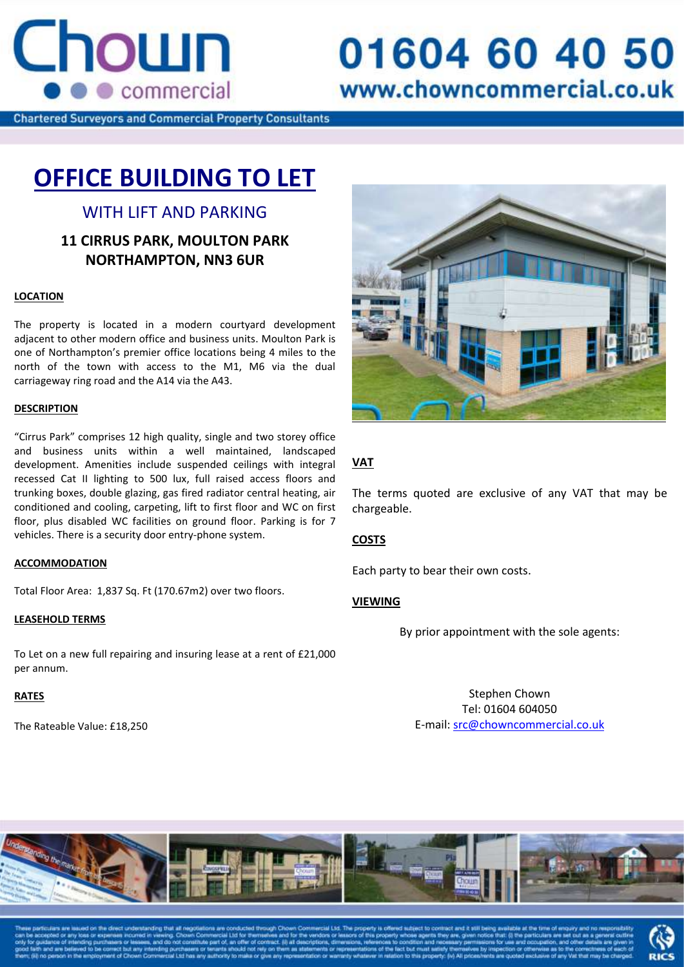

# 01604 60 40 50 www.chowncommercial.co.uk

**Chartered Surveyors and Commercial Property Consultants** 

## **OFFICE BUILDING TO LET**

## WITH LIFT AND PARKING

### **11 CIRRUS PARK, MOULTON PARK NORTHAMPTON, NN3 6UR**

#### **LOCATION**

The property is located in a modern courtyard development adjacent to other modern office and business units. Moulton Park is one of Northampton's premier office locations being 4 miles to the north of the town with access to the M1, M6 via the dual carriageway ring road and the A14 via the A43.

#### **DESCRIPTION**

Consent is pending for : "Cirrus Park" comprises 12 high quality, single and two storey office and business untis within a well maintained, landscaped<br>development. Amenities include suspended ceilings with integral and business units within a well maintained, landscaped recessed Cat II lighting to 500 lux, full raised access floors and trunking boxes, double glazing, gas fired radiator central heating, air conditioned and cooling, carpeting, lift to first floor and WC on first floor, plus disabled WC facilities on ground floor. Parking is for 7 vehicles. There is a security door entry-phone system.

#### **ACCOMMODATION**

Total Floor Area: 1,837 Sq. Ft (170.67m2) over two floors.

#### **LEASEHOLD TERMS**

To Let on a new full repairing and insuring lease at a rent of £21,000 per annum.

#### **RATES**

The Rateable Value: £18,250



#### **VAT**

The terms quoted are exclusive of any VAT that may be chargeable.

#### **COSTS**

Each party to bear their own costs.

#### **VIEWING**

By prior appointment with the sole agents:

Stephen Chown Tel: 01604 604050 E-mail[: src@chowncommercial.co.uk](mailto:src@chowncommercial.co.uk)